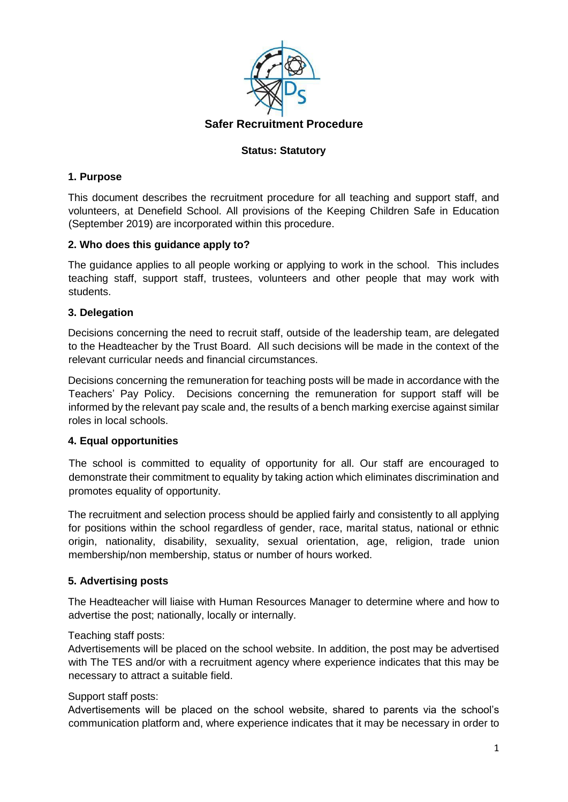

### **Status: Statutory**

### **1. Purpose**

This document describes the recruitment procedure for all teaching and support staff, and volunteers, at Denefield School. All provisions of the Keeping Children Safe in Education (September 2019) are incorporated within this procedure.

### **2. Who does this guidance apply to?**

The guidance applies to all people working or applying to work in the school. This includes teaching staff, support staff, trustees, volunteers and other people that may work with students.

#### **3. Delegation**

Decisions concerning the need to recruit staff, outside of the leadership team, are delegated to the Headteacher by the Trust Board. All such decisions will be made in the context of the relevant curricular needs and financial circumstances.

Decisions concerning the remuneration for teaching posts will be made in accordance with the Teachers' Pay Policy. Decisions concerning the remuneration for support staff will be informed by the relevant pay scale and, the results of a bench marking exercise against similar roles in local schools.

#### **4. Equal opportunities**

The school is committed to equality of opportunity for all. Our staff are encouraged to demonstrate their commitment to equality by taking action which eliminates discrimination and promotes equality of opportunity.

The recruitment and selection process should be applied fairly and consistently to all applying for positions within the school regardless of gender, race, marital status, national or ethnic origin, nationality, disability, sexuality, sexual orientation, age, religion, trade union membership/non membership, status or number of hours worked.

#### **5. Advertising posts**

The Headteacher will liaise with Human Resources Manager to determine where and how to advertise the post; nationally, locally or internally.

#### Teaching staff posts:

Advertisements will be placed on the school website. In addition, the post may be advertised with The TES and/or with a recruitment agency where experience indicates that this may be necessary to attract a suitable field.

#### Support staff posts:

Advertisements will be placed on the school website, shared to parents via the school's communication platform and, where experience indicates that it may be necessary in order to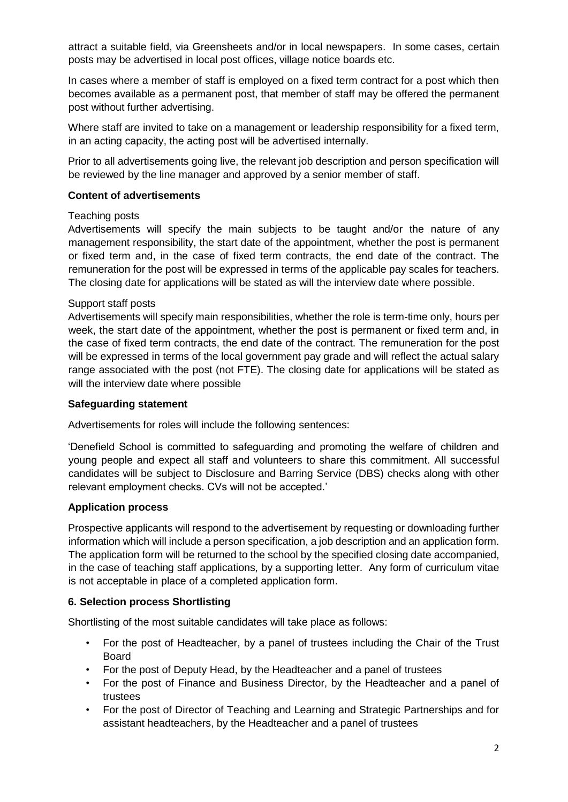attract a suitable field, via Greensheets and/or in local newspapers. In some cases, certain posts may be advertised in local post offices, village notice boards etc.

In cases where a member of staff is employed on a fixed term contract for a post which then becomes available as a permanent post, that member of staff may be offered the permanent post without further advertising.

Where staff are invited to take on a management or leadership responsibility for a fixed term, in an acting capacity, the acting post will be advertised internally.

Prior to all advertisements going live, the relevant job description and person specification will be reviewed by the line manager and approved by a senior member of staff.

### **Content of advertisements**

#### Teaching posts

Advertisements will specify the main subjects to be taught and/or the nature of any management responsibility, the start date of the appointment, whether the post is permanent or fixed term and, in the case of fixed term contracts, the end date of the contract. The remuneration for the post will be expressed in terms of the applicable pay scales for teachers. The closing date for applications will be stated as will the interview date where possible.

#### Support staff posts

Advertisements will specify main responsibilities, whether the role is term-time only, hours per week, the start date of the appointment, whether the post is permanent or fixed term and, in the case of fixed term contracts, the end date of the contract. The remuneration for the post will be expressed in terms of the local government pay grade and will reflect the actual salary range associated with the post (not FTE). The closing date for applications will be stated as will the interview date where possible

#### **Safeguarding statement**

Advertisements for roles will include the following sentences:

'Denefield School is committed to safeguarding and promoting the welfare of children and young people and expect all staff and volunteers to share this commitment. All successful candidates will be subject to Disclosure and Barring Service (DBS) checks along with other relevant employment checks. CVs will not be accepted.'

#### **Application process**

Prospective applicants will respond to the advertisement by requesting or downloading further information which will include a person specification, a job description and an application form. The application form will be returned to the school by the specified closing date accompanied, in the case of teaching staff applications, by a supporting letter. Any form of curriculum vitae is not acceptable in place of a completed application form.

#### **6. Selection process Shortlisting**

Shortlisting of the most suitable candidates will take place as follows:

- For the post of Headteacher, by a panel of trustees including the Chair of the Trust Board
- For the post of Deputy Head, by the Headteacher and a panel of trustees
- For the post of Finance and Business Director, by the Headteacher and a panel of trustees
- For the post of Director of Teaching and Learning and Strategic Partnerships and for assistant headteachers, by the Headteacher and a panel of trustees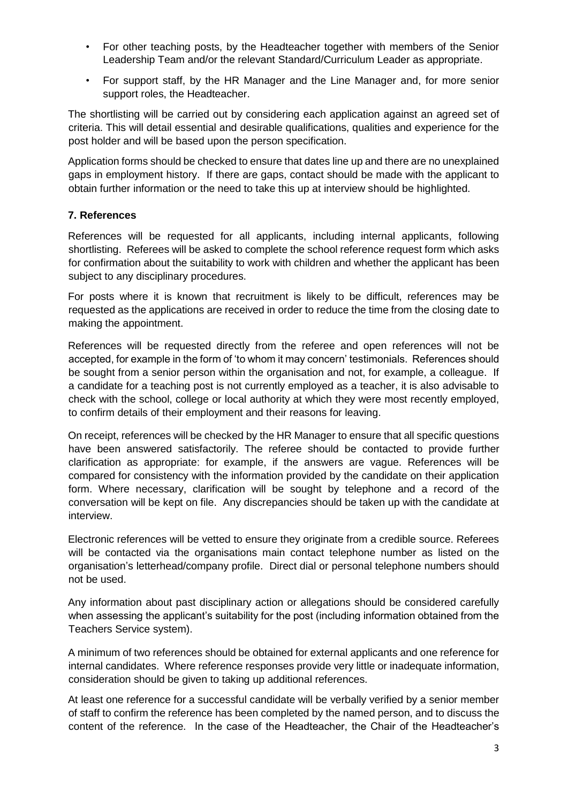- For other teaching posts, by the Headteacher together with members of the Senior Leadership Team and/or the relevant Standard/Curriculum Leader as appropriate.
- For support staff, by the HR Manager and the Line Manager and, for more senior support roles, the Headteacher.

The shortlisting will be carried out by considering each application against an agreed set of criteria. This will detail essential and desirable qualifications, qualities and experience for the post holder and will be based upon the person specification.

Application forms should be checked to ensure that dates line up and there are no unexplained gaps in employment history. If there are gaps, contact should be made with the applicant to obtain further information or the need to take this up at interview should be highlighted.

## **7. References**

References will be requested for all applicants, including internal applicants, following shortlisting. Referees will be asked to complete the school reference request form which asks for confirmation about the suitability to work with children and whether the applicant has been subject to any disciplinary procedures.

For posts where it is known that recruitment is likely to be difficult, references may be requested as the applications are received in order to reduce the time from the closing date to making the appointment.

References will be requested directly from the referee and open references will not be accepted, for example in the form of 'to whom it may concern' testimonials. References should be sought from a senior person within the organisation and not, for example, a colleague. If a candidate for a teaching post is not currently employed as a teacher, it is also advisable to check with the school, college or local authority at which they were most recently employed, to confirm details of their employment and their reasons for leaving.

On receipt, references will be checked by the HR Manager to ensure that all specific questions have been answered satisfactorily. The referee should be contacted to provide further clarification as appropriate: for example, if the answers are vague. References will be compared for consistency with the information provided by the candidate on their application form. Where necessary, clarification will be sought by telephone and a record of the conversation will be kept on file. Any discrepancies should be taken up with the candidate at interview.

Electronic references will be vetted to ensure they originate from a credible source. Referees will be contacted via the organisations main contact telephone number as listed on the organisation's letterhead/company profile. Direct dial or personal telephone numbers should not be used.

Any information about past disciplinary action or allegations should be considered carefully when assessing the applicant's suitability for the post (including information obtained from the Teachers Service system).

A minimum of two references should be obtained for external applicants and one reference for internal candidates. Where reference responses provide very little or inadequate information, consideration should be given to taking up additional references.

At least one reference for a successful candidate will be verbally verified by a senior member of staff to confirm the reference has been completed by the named person, and to discuss the content of the reference. In the case of the Headteacher, the Chair of the Headteacher's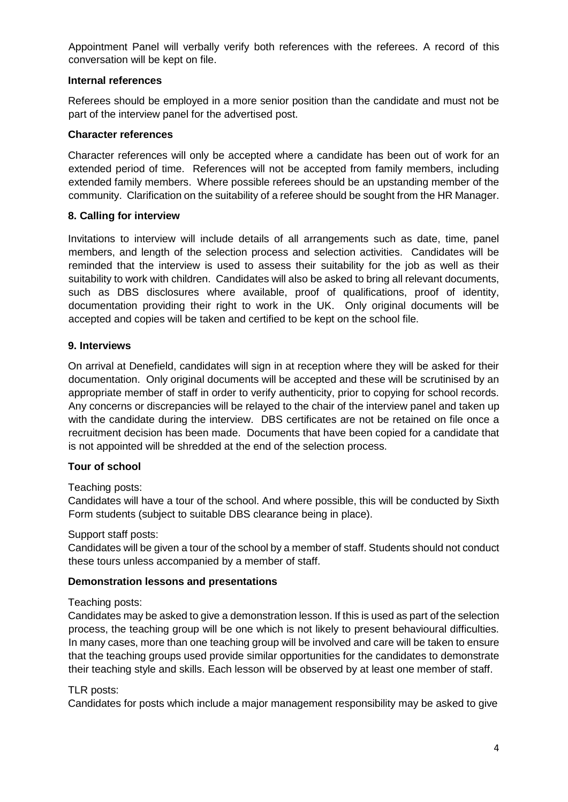Appointment Panel will verbally verify both references with the referees. A record of this conversation will be kept on file.

#### **Internal references**

Referees should be employed in a more senior position than the candidate and must not be part of the interview panel for the advertised post.

### **Character references**

Character references will only be accepted where a candidate has been out of work for an extended period of time. References will not be accepted from family members, including extended family members. Where possible referees should be an upstanding member of the community. Clarification on the suitability of a referee should be sought from the HR Manager.

### **8. Calling for interview**

Invitations to interview will include details of all arrangements such as date, time, panel members, and length of the selection process and selection activities. Candidates will be reminded that the interview is used to assess their suitability for the job as well as their suitability to work with children. Candidates will also be asked to bring all relevant documents, such as DBS disclosures where available, proof of qualifications, proof of identity, documentation providing their right to work in the UK. Only original documents will be accepted and copies will be taken and certified to be kept on the school file.

### **9. Interviews**

On arrival at Denefield, candidates will sign in at reception where they will be asked for their documentation. Only original documents will be accepted and these will be scrutinised by an appropriate member of staff in order to verify authenticity, prior to copying for school records. Any concerns or discrepancies will be relayed to the chair of the interview panel and taken up with the candidate during the interview. DBS certificates are not be retained on file once a recruitment decision has been made. Documents that have been copied for a candidate that is not appointed will be shredded at the end of the selection process.

## **Tour of school**

#### Teaching posts:

Candidates will have a tour of the school. And where possible, this will be conducted by Sixth Form students (subject to suitable DBS clearance being in place).

#### Support staff posts:

Candidates will be given a tour of the school by a member of staff. Students should not conduct these tours unless accompanied by a member of staff.

#### **Demonstration lessons and presentations**

#### Teaching posts:

Candidates may be asked to give a demonstration lesson. If this is used as part of the selection process, the teaching group will be one which is not likely to present behavioural difficulties. In many cases, more than one teaching group will be involved and care will be taken to ensure that the teaching groups used provide similar opportunities for the candidates to demonstrate their teaching style and skills. Each lesson will be observed by at least one member of staff.

## TLR posts:

Candidates for posts which include a major management responsibility may be asked to give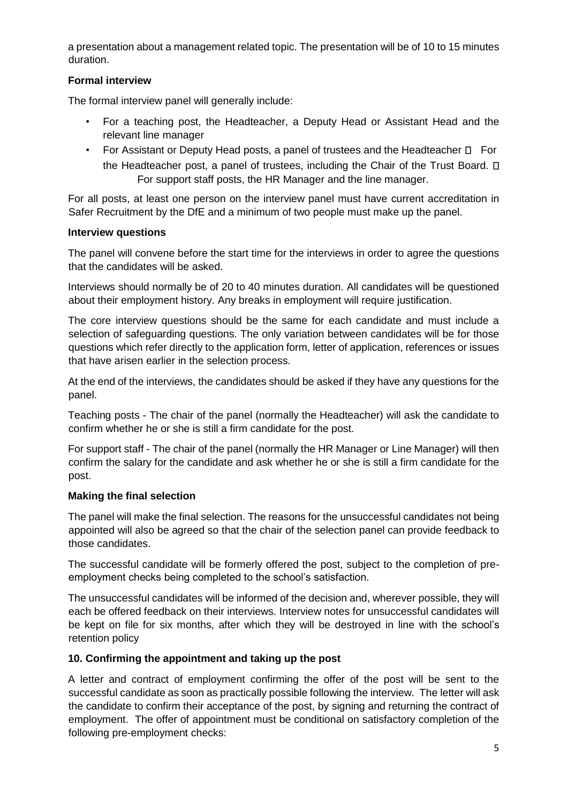a presentation about a management related topic. The presentation will be of 10 to 15 minutes duration.

## **Formal interview**

The formal interview panel will generally include:

- For a teaching post, the Headteacher, a Deputy Head or Assistant Head and the relevant line manager
- For Assistant or Deputy Head posts, a panel of trustees and the Headteacher  $\Box$  For the Headteacher post, a panel of trustees, including the Chair of the Trust Board. For support staff posts, the HR Manager and the line manager.

For all posts, at least one person on the interview panel must have current accreditation in Safer Recruitment by the DfE and a minimum of two people must make up the panel.

## **Interview questions**

The panel will convene before the start time for the interviews in order to agree the questions that the candidates will be asked.

Interviews should normally be of 20 to 40 minutes duration. All candidates will be questioned about their employment history. Any breaks in employment will require justification.

The core interview questions should be the same for each candidate and must include a selection of safeguarding questions. The only variation between candidates will be for those questions which refer directly to the application form, letter of application, references or issues that have arisen earlier in the selection process.

At the end of the interviews, the candidates should be asked if they have any questions for the panel.

Teaching posts - The chair of the panel (normally the Headteacher) will ask the candidate to confirm whether he or she is still a firm candidate for the post.

For support staff - The chair of the panel (normally the HR Manager or Line Manager) will then confirm the salary for the candidate and ask whether he or she is still a firm candidate for the post.

# **Making the final selection**

The panel will make the final selection. The reasons for the unsuccessful candidates not being appointed will also be agreed so that the chair of the selection panel can provide feedback to those candidates.

The successful candidate will be formerly offered the post, subject to the completion of preemployment checks being completed to the school's satisfaction.

The unsuccessful candidates will be informed of the decision and, wherever possible, they will each be offered feedback on their interviews. Interview notes for unsuccessful candidates will be kept on file for six months, after which they will be destroyed in line with the school's retention policy

## **10. Confirming the appointment and taking up the post**

A letter and contract of employment confirming the offer of the post will be sent to the successful candidate as soon as practically possible following the interview. The letter will ask the candidate to confirm their acceptance of the post, by signing and returning the contract of employment. The offer of appointment must be conditional on satisfactory completion of the following pre-employment checks: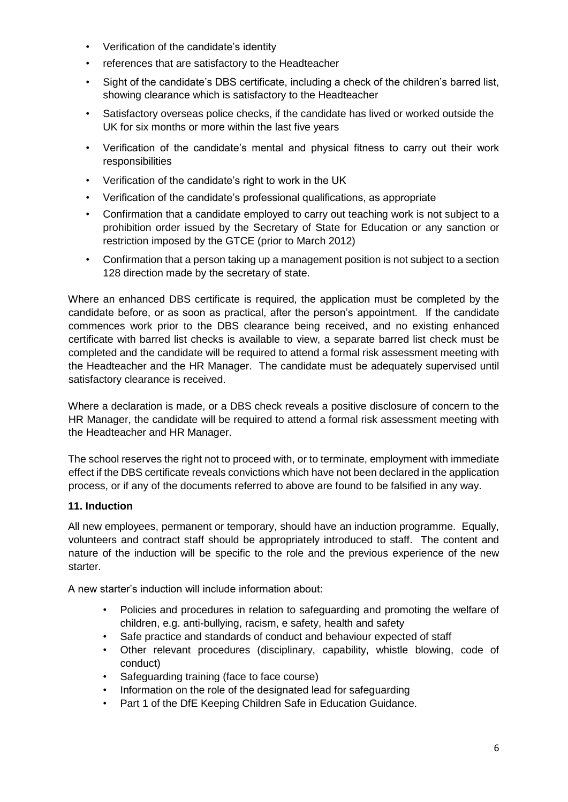- Verification of the candidate's identity
- references that are satisfactory to the Headteacher
- Sight of the candidate's DBS certificate, including a check of the children's barred list, showing clearance which is satisfactory to the Headteacher
- Satisfactory overseas police checks, if the candidate has lived or worked outside the UK for six months or more within the last five years
- Verification of the candidate's mental and physical fitness to carry out their work responsibilities
- Verification of the candidate's right to work in the UK
- Verification of the candidate's professional qualifications, as appropriate
- Confirmation that a candidate employed to carry out teaching work is not subject to a prohibition order issued by the Secretary of State for Education or any sanction or restriction imposed by the GTCE (prior to March 2012)
- Confirmation that a person taking up a management position is not subject to a section 128 direction made by the secretary of state.

Where an enhanced DBS certificate is required, the application must be completed by the candidate before, or as soon as practical, after the person's appointment. If the candidate commences work prior to the DBS clearance being received, and no existing enhanced certificate with barred list checks is available to view, a separate barred list check must be completed and the candidate will be required to attend a formal risk assessment meeting with the Headteacher and the HR Manager. The candidate must be adequately supervised until satisfactory clearance is received.

Where a declaration is made, or a DBS check reveals a positive disclosure of concern to the HR Manager, the candidate will be required to attend a formal risk assessment meeting with the Headteacher and HR Manager.

The school reserves the right not to proceed with, or to terminate, employment with immediate effect if the DBS certificate reveals convictions which have not been declared in the application process, or if any of the documents referred to above are found to be falsified in any way.

#### **11. Induction**

All new employees, permanent or temporary, should have an induction programme. Equally, volunteers and contract staff should be appropriately introduced to staff. The content and nature of the induction will be specific to the role and the previous experience of the new starter.

A new starter's induction will include information about:

- Policies and procedures in relation to safeguarding and promoting the welfare of children, e.g. anti-bullying, racism, e safety, health and safety
- Safe practice and standards of conduct and behaviour expected of staff
- Other relevant procedures (disciplinary, capability, whistle blowing, code of conduct)
- Safeguarding training (face to face course)
- Information on the role of the designated lead for safeguarding
- Part 1 of the DfE Keeping Children Safe in Education Guidance.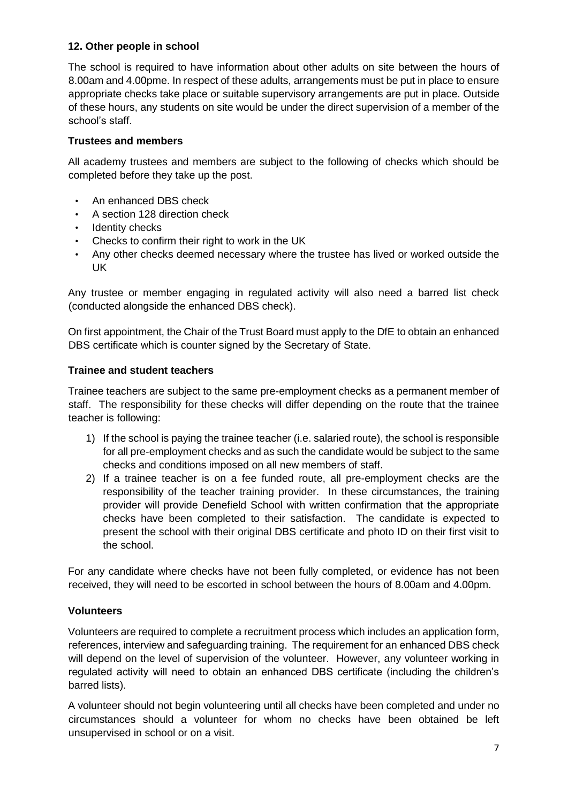## **12. Other people in school**

The school is required to have information about other adults on site between the hours of 8.00am and 4.00pme. In respect of these adults, arrangements must be put in place to ensure appropriate checks take place or suitable supervisory arrangements are put in place. Outside of these hours, any students on site would be under the direct supervision of a member of the school's staff.

## **Trustees and members**

All academy trustees and members are subject to the following of checks which should be completed before they take up the post.

- An enhanced DBS check
- [A](https://schoolgovernors.thekeysupport.com/curriculum-and-pupils/pastoral-care/dbs-checks/section-128-checks/?marker=content-body) [section 128 direction check](https://schoolgovernors.thekeysupport.com/curriculum-and-pupils/pastoral-care/dbs-checks/section-128-checks/?marker=content-body)
- Identity checks
- Checks to confirm their right to work in the UK
- Any other checks deemed necessary where the trustee has lived or worked outside the UK

Any trustee or member engaging in regulated activity will also need a barred list check (conducted alongside the enhanced DBS check).

On first appointment, the Chair of the Trust Board must apply to the DfE to obtain an enhanced DBS certificate which is counter signed by the Secretary of State.

#### **Trainee and student teachers**

Trainee teachers are subject to the same pre-employment checks as a permanent member of staff. The responsibility for these checks will differ depending on the route that the trainee teacher is following:

- 1) If the school is paying the trainee teacher (i.e. salaried route), the school is responsible for all pre-employment checks and as such the candidate would be subject to the same checks and conditions imposed on all new members of staff.
- 2) If a trainee teacher is on a fee funded route, all pre-employment checks are the responsibility of the teacher training provider. In these circumstances, the training provider will provide Denefield School with written confirmation that the appropriate checks have been completed to their satisfaction. The candidate is expected to present the school with their original DBS certificate and photo ID on their first visit to the school.

For any candidate where checks have not been fully completed, or evidence has not been received, they will need to be escorted in school between the hours of 8.00am and 4.00pm.

## **Volunteers**

Volunteers are required to complete a recruitment process which includes an application form, references, interview and safeguarding training. The requirement for an enhanced DBS check will depend on the level of supervision of the volunteer. However, any volunteer working in regulated activity will need to obtain an enhanced DBS certificate (including the children's barred lists).

A volunteer should not begin volunteering until all checks have been completed and under no circumstances should a volunteer for whom no checks have been obtained be left unsupervised in school or on a visit.